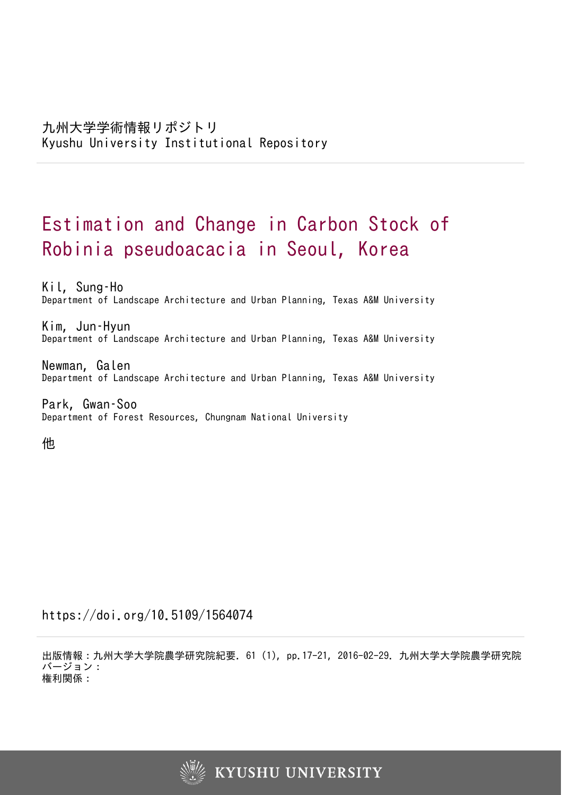# Estimation and Change in Carbon Stock of Robinia pseudoacacia in Seoul, Korea

Kil, Sung–Ho Department of Landscape Architecture and Urban Planning, Texas A&M University

Kim, Jun–Hyun Department of Landscape Architecture and Urban Planning, Texas A&M University

Newman, Galen Department of Landscape Architecture and Urban Planning, Texas A&M University

Park, Gwan–Soo Department of Forest Resources, Chungnam National University

他

https://doi.org/10.5109/1564074

出版情報:九州大学大学院農学研究院紀要. 61 (1), pp.17-21, 2016-02-29. 九州大学大学院農学研究院 バージョン: 権利関係:

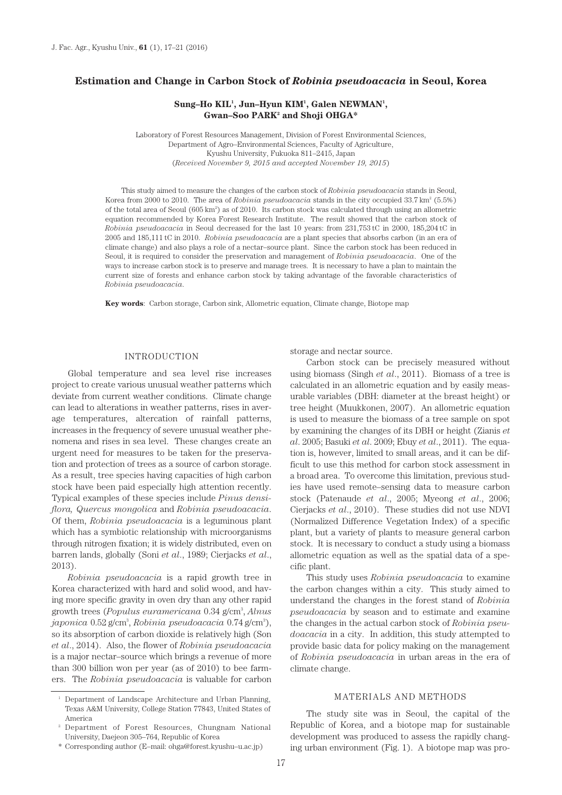# **Estimation and Change in Carbon Stock of** *Robinia pseudoacacia* **in Seoul, Korea**

# Sung–Ho KIL<sup>1</sup>, Jun–Hyun KIM<sup>1</sup>, Galen NEWMAN<sup>1</sup>, **Gwan–Soo PARK2 and Shoji OHGA\***

Laboratory of Forest Resources Management, Division of Forest Environmental Sciences, Department of Agro–Environmental Sciences, Faculty of Agriculture, Kyushu University, Fukuoka 811–2415, Japan (*Received November 9, 2015 and accepted November 19, 2015*)

This study aimed to measure the changes of the carbon stock of *Robinia pseudoacacia* stands in Seoul, Korea from 2000 to 2010. The area of *Robinia pseudoacacia* stands in the city occupied 33.7 km<sup>2</sup> (5.5%) of the total area of Seoul (605 km<sup>2</sup>) as of 2010. Its carbon stock was calculated through using an allometric equation recommended by Korea Forest Research Institute. The result showed that the carbon stock of *Robinia pseudoacacia* in Seoul decreased for the last 10 years: from 231,753 tC in 2000, 185,204 tC in 2005 and 185,111 tC in 2010. *Robinia pseudoacacia* are a plant species that absorbs carbon (in an era of climate change) and also plays a role of a nectar–source plant. Since the carbon stock has been reduced in Seoul, it is required to consider the preservation and management of *Robinia pseudoacacia*. One of the ways to increase carbon stock is to preserve and manage trees. It is necessary to have a plan to maintain the current size of forests and enhance carbon stock by taking advantage of the favorable characteristics of *Robinia pseudoacacia*.

**Key words**: Carbon storage, Carbon sink, Allometric equation, Climate change, Biotope map

# INTRODUCTION

Global temperature and sea level rise increases project to create various unusual weather patterns which deviate from current weather conditions. Climate change can lead to alterations in weather patterns, rises in average temperatures, altercation of rainfall patterns, increases in the frequency of severe unusual weather phenomena and rises in sea level. These changes create an urgent need for measures to be taken for the preservation and protection of trees as a source of carbon storage. As a result, tree species having capacities of high carbon stock have been paid especially high attention recently. Typical examples of these species include *Pinus densiflora, Quercus mongolica* and *Robinia pseudoacacia*. Of them, *Robinia pseudoacacia* is a leguminous plant which has a symbiotic relationship with microorganisms through nitrogen fixation; it is widely distributed, even on barren lands, globally (Soni *et al*., 1989; Cierjacks *et al*., 2013).

*Robinia pseudoacacia* is a rapid growth tree in Korea characterized with hard and solid wood, and having more specific gravity in oven dry than any other rapid growth trees (*Populus euramericana* 0.34 g/cm3 , *Alnus japonica* 0.52 g/cm3 , *Robinia pseudoacacia* 0.74 g/cm3 ), so its absorption of carbon dioxide is relatively high (Son *et al*., 2014). Also, the flower of *Robinia pseudoacacia* is a major nectar–source which brings a revenue of more than 300 billion won per year (as of 2010) to bee farmers. The *Robinia pseudoacacia* is valuable for carbon

\* Corresponding author (E–mail: ohga@forest.kyushu–u.ac.jp)

storage and nectar source.

Carbon stock can be precisely measured without using biomass (Singh *et al*., 2011). Biomass of a tree is calculated in an allometric equation and by easily measurable variables (DBH: diameter at the breast height) or tree height (Muukkonen, 2007). An allometric equation is used to measure the biomass of a tree sample on spot by examining the changes of its DBH or height (Zianis *et al*. 2005; Basuki *et al*. 2009; Ebuy *et al*., 2011). The equation is, however, limited to small areas, and it can be difficult to use this method for carbon stock assessment in a broad area. To overcome this limitation, previous studies have used remote–sensing data to measure carbon stock (Patenaude *et al*., 2005; Myeong *et al*., 2006; Cierjacks *et al*., 2010). These studies did not use NDVI (Normalized Difference Vegetation Index) of a specific plant, but a variety of plants to measure general carbon stock. It is necessary to conduct a study using a biomass allometric equation as well as the spatial data of a specific plant.

This study uses *Robinia pseudoacacia* to examine the carbon changes within a city. This study aimed to understand the changes in the forest stand of *Robinia pseudoacacia* by season and to estimate and examine the changes in the actual carbon stock of *Robinia pseudoacacia* in a city. In addition, this study attempted to provide basic data for policy making on the management of *Robinia pseudoacacia* in urban areas in the era of climate change.

## MATERIALS AND METHODS

The study site was in Seoul, the capital of the Republic of Korea, and a biotope map for sustainable development was produced to assess the rapidly changing urban environment (Fig. 1). A biotope map was pro-

<sup>1</sup> Department of Landscape Architecture and Urban Planning, Texas A&M University, College Station 77843, United States of America

<sup>2</sup> Department of Forest Resources, Chungnam National University, Daejeon 305–764, Republic of Korea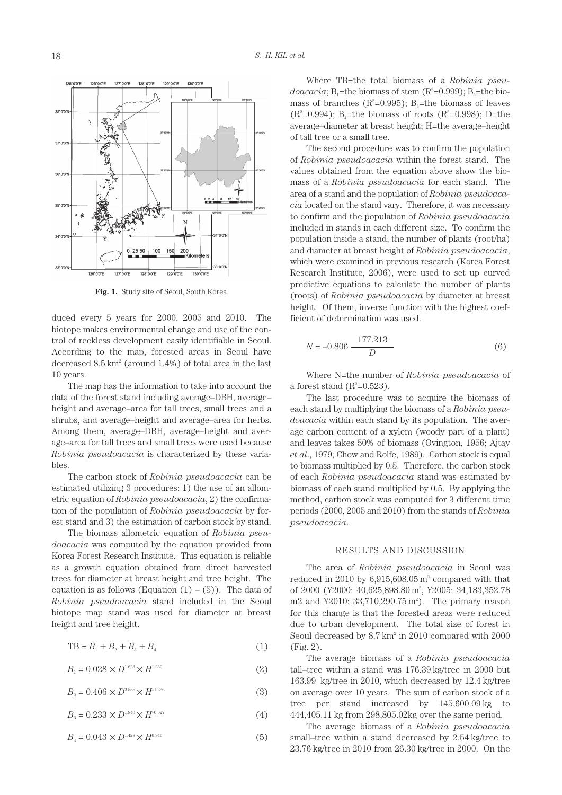

**Fig. 1.** Study site of Seoul, South Korea.

duced every 5 years for 2000, 2005 and 2010. The biotope makes environmental change and use of the control of reckless development easily identifiable in Seoul. According to the map, forested areas in Seoul have decreased  $8.5 \text{ km}^2$  (around  $1.4\%$ ) of total area in the last 10 years.

The map has the information to take into account the data of the forest stand including average–DBH, average– height and average–area for tall trees, small trees and a shrubs, and average–height and average–area for herbs. Among them, average–DBH, average–height and average–area for tall trees and small trees were used because *Robinia pseudoacacia* is characterized by these variables.

The carbon stock of *Robinia pseudoacacia* can be estimated utilizing 3 procedures: 1) the use of an allometric equation of *Robinia pseudoacacia*, 2) the confirmation of the population of *Robinia pseudoacacia* by forest stand and 3) the estimation of carbon stock by stand.

The biomass allometric equation of *Robinia pseudoacacia* was computed by the equation provided from Korea Forest Research Institute. This equation is reliable as a growth equation obtained from direct harvested trees for diameter at breast height and tree height. The equation is as follows (Equation  $(1) - (5)$ ). The data of *Robinia pseudoacacia* stand included in the Seoul biotope map stand was used for diameter at breast height and tree height.

$$
TB = B_1 + B_2 + B_3 + B_4 \tag{1}
$$

$$
B_1 = 0.028 \times D^{1.623} \times H^{1.230}
$$
 (2)

$$
B_2 = 0.406 \times D^{2.555} \times H^{-1.266}
$$
 (3)

$$
B_3 = 0.233 \times D^{1.840} \times H^{0.527} \tag{4}
$$

$$
B_4 = 0.043 \times D^{1.429} \times H^{0.946}
$$
 (5)

Where TB=the total biomass of a *Robinia pseu* $doacacia; B_1$ =the biomass of stem  $(R^2=0.999); B_2=$ the biomass of branches ( $R^2=0.995$ ); B<sub>3</sub>=the biomass of leaves  $(R^2=0.994)$ ; B<sub>4</sub>=the biomass of roots  $(R^2=0.998)$ ; D=the average–diameter at breast height; H=the average–height of tall tree or a small tree.

The second procedure was to confirm the population of *Robinia pseudoacacia* within the forest stand. The values obtained from the equation above show the biomass of a *Robinia pseudoacacia* for each stand. The area of a stand and the population of *Robinia pseudoacacia* located on the stand vary. Therefore, it was necessary to confirm and the population of *Robinia pseudoacacia* included in stands in each different size. To confirm the population inside a stand, the number of plants (root/ha) and diameter at breast height of *Robinia pseudoacacia*, which were examined in previous research (Korea Forest Research Institute, 2006), were used to set up curved predictive equations to calculate the number of plants (roots) of *Robinia pseudoacacia* by diameter at breast height. Of them, inverse function with the highest coefficient of determination was used.

$$
N = -0.806 \frac{177.213}{D} \tag{6}
$$

Where N=the number of *Robinia pseudoacacia* of a forest stand  $(R^2=0.523)$ .

The last procedure was to acquire the biomass of each stand by multiplying the biomass of a *Robinia pseudoacacia* within each stand by its population. The average carbon content of a xylem (woody part of a plant) and leaves takes 50% of biomass (Ovington, 1956; Ajtay *et al*., 1979; Chow and Rolfe, 1989). Carbon stock is equal to biomass multiplied by 0.5. Therefore, the carbon stock of each *Robinia pseudoacacia* stand was estimated by biomass of each stand multiplied by 0.5. By applying the method, carbon stock was computed for 3 different time periods (2000, 2005 and 2010) from the stands of *Robinia pseudoacacia*.

## RESULTS AND DISCUSSION

The area of *Robinia pseudoacacia* in Seoul was reduced in 2010 by  $6,915,608.05 \,\mathrm{m}^2$  compared with that of 2000 (Y2000: 40,625,898.80 m<sup>2</sup>, Y2005: 34,183,352.78 m2 and Y2010: 33,710,290.75 m<sup>2</sup>). The primary reason for this change is that the forested areas were reduced due to urban development. The total size of forest in Seoul decreased by 8.7 km<sup>2</sup> in 2010 compared with 2000 (Fig. 2).

The average biomass of a *Robinia pseudoacacia* tall–tree within a stand was 176.39 kg/tree in 2000 but 163.99 kg/tree in 2010, which decreased by 12.4 kg/tree on average over 10 years. The sum of carbon stock of a tree per stand increased by 145,600.09 kg to 444,405.11 kg from 298,805.02kg over the same period.

The average biomass of a *Robinia pseudoacacia* small–tree within a stand decreased by 2.54 kg/tree to 23.76 kg/tree in 2010 from 26.30 kg/tree in 2000. On the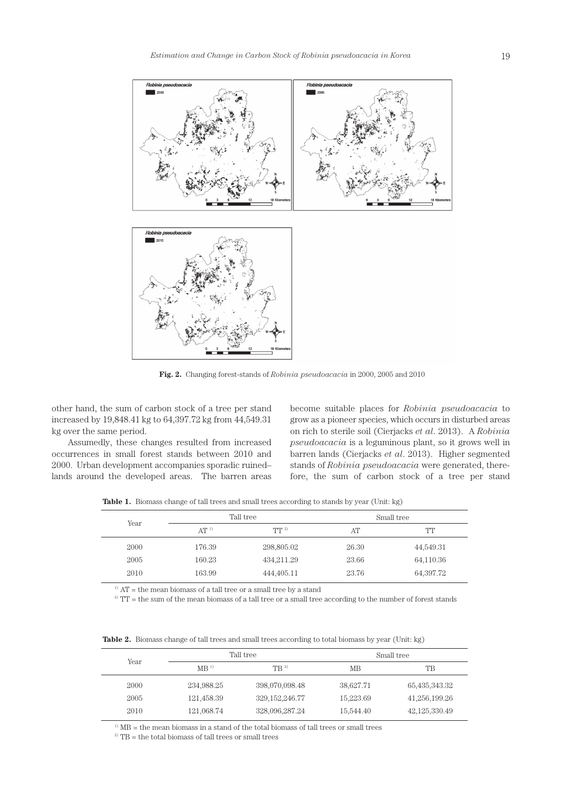

**Fig. 2.** Changing forest-stands of *Robinia pseudoacacia* in 2000, 2005 and 2010

other hand, the sum of carbon stock of a tree per stand increased by 19,848.41 kg to 64,397.72 kg from 44,549.31 kg over the same period.

Assumedly, these changes resulted from increased occurrences in small forest stands between 2010 and 2000. Urban development accompanies sporadic ruined– lands around the developed areas. The barren areas become suitable places for *Robinia pseudoacacia* to grow as a pioneer species, which occurs in disturbed areas on rich to sterile soil (Cierjacks *et al*. 2013). A *Robinia pseudoacacia* is a leguminous plant, so it grows well in barren lands (Cierjacks *et al*. 2013). Higher segmented stands of *Robinia pseudoacacia* were generated, therefore, the sum of carbon stock of a tree per stand

**Table 1.** Biomass change of tall trees and small trees according to stands by year (Unit: kg)

| Year | Tall tree |            | Small tree |           |
|------|-----------|------------|------------|-----------|
|      | $AT^{1}$  | $TT^{2}$   | AT         | TТ        |
| 2000 | 176.39    | 298,805.02 | 26.30      | 44,549.31 |
| 2005 | 160.23    | 434,211.29 | 23.66      | 64,110.36 |
| 2010 | 163.99    | 444,405.11 | 23.76      | 64,397.72 |

 $^{\scriptscriptstyle 1)}$  AT = the mean biomass of a tall tree or a small tree by a stand

<sup>2)</sup> TT = the sum of the mean biomass of a tall tree or a small tree according to the number of forest stands

**Table 2.** Biomass change of tall trees and small trees according to total biomass by year (Unit: kg)

| Year | Tall tree       |                  | Small tree |               |
|------|-----------------|------------------|------------|---------------|
|      | MB <sup>1</sup> | $\text{TR}^{2)}$ | <b>MB</b>  | TB            |
| 2000 | 234,988.25      | 398,070,098.48   | 38,627.71  | 65,435,343.32 |
| 2005 | 121,458.39      | 329, 152, 246.77 | 15,223.69  | 41,256,199.26 |
| 2010 | 121.068.74      | 328,096,287.24   | 15,544.40  | 42,125,330.49 |

 $1)$  MB = the mean biomass in a stand of the total biomass of tall trees or small trees

 $2)$  TB = the total biomass of tall trees or small trees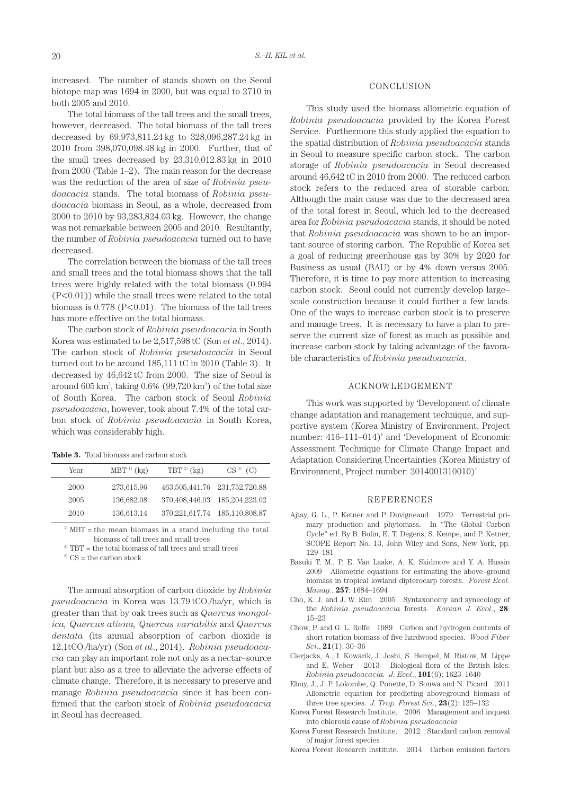increased. The number of stands shown on the Seoul biotope map was 1694 in 2000, but was equal to 2710 in both 2005 and 2010.

The total biomass of the tall trees and the small trees, however, decreased. The total biomass of the tall trees decreased by 69,973,811.24 kg to 328,096,287.24 kg in 2010 from 398,070,098.48 kg in 2000. Further, that of the small trees decreased by 23,310,012.83 kg in 2010 from 2000 (Table 1–2). The main reason for the decrease was the reduction of the area of size of *Robinia pseudoacacia* stands. The total biomass of *Robinia pseudoacacia* biomass in Seoul, as a whole, decreased from 2000 to 2010 by 93,283,824.03 kg. However, the change was not remarkable between 2005 and 2010. Resultantly, the number of *Robinia pseudoacacia* turned out to have decreased.

The correlation between the biomass of the tall trees and small trees and the total biomass shows that the tall trees were highly related with the total biomass (0.994 (P<0.01)) while the small trees were related to the total biomass is  $0.778$  (P<0.01). The biomass of the tall trees has more effective on the total biomass.

The carbon stock of *Robinia pseudoacaci*a in South Korea was estimated to be 2,517,598 tC (Son *et al*., 2014). The carbon stock of *Robinia pseudoacacia* in Seoul turned out to be around 185,111 tC in 2010 (Table 3). It decreased by 46,642 tC from 2000. The size of Seoul is around  $605 \text{ km}^2$ , taking  $0.6\%$   $(99,720 \text{ km}^2)$  of the total size of South Korea. The carbon stock of Seoul *Robinia pseudoacacia*, however, took about 7.4% of the total carbon stock of *Robinia pseudoacacia* in South Korea, which was considerably high.

**Table 3.** Total biomass and carbon stock

| Year | $MBT^{1}$ (kg) | TBT $^{2)}$ (kg)                  | CS <sup>3</sup><br>(C) |
|------|----------------|-----------------------------------|------------------------|
| 2000 | 273,615.96     | 463,505,441.76 231,752,720.88     |                        |
| 2005 | 136,682.08     | 370,408,446.03 185,204,223.02     |                        |
| 2010 | 136,613.14     | 370, 221, 617.74 185, 110, 808.87 |                        |

 $1)$  MBT = the mean biomass in a stand including the total biomass of tall trees and small trees

 $2)$  TBT = the total biomass of tall trees and small trees

 $3)$  CS = the carbon stock

The annual absorption of carbon dioxide by *Robinia pseudoacacia* in Korea was 13.79 tCO<sub>2</sub>/ha/yr, which is greater than that by oak trees such as *Quercus mongolica, Quercus aliena, Quercus variabilis* and *Quercus dentata* (its annual absorption of carbon dioxide is 12.1tCO2/ha/yr) (Son *et al*., 2014). *Robinia pseudoacacia* can play an important role not only as a nectar–source plant but also as a tree to alleviate the adverse effects of climate change. Therefore, it is necessary to preserve and manage *Robinia pseudoacacia* since it has been confirmed that the carbon stock of *Robinia pseudoacacia* in Seoul has decreased.

### CONCLUSION

This study used the biomass allometric equation of *Robinia pseudoacacia* provided by the Korea Forest Service. Furthermore this study applied the equation to the spatial distribution of *Robinia pseudoacacia* stands in Seoul to measure specific carbon stock. The carbon storage of *Robinia pseudoacacia* in Seoul decreased around 46,642 tC in 2010 from 2000. The reduced carbon stock refers to the reduced area of storable carbon. Although the main cause was due to the decreased area of the total forest in Seoul, which led to the decreased area for *Robinia pseudoacacia* stands, it should be noted that *Robinia pseudoacacia* was shown to be an important source of storing carbon. The Republic of Korea set a goal of reducing greenhouse gas by 30% by 2020 for Business as usual (BAU) or by 4% down versus 2005. Therefore, it is time to pay more attention to increasing carbon stock. Seoul could not currently develop large– scale construction because it could further a few lands. One of the ways to increase carbon stock is to preserve and manage trees. It is necessary to have a plan to preserve the current size of forest as much as possible and increase carbon stock by taking advantage of the favorable characteristics of *Robinia pseudoacacia*.

### ACKNOWLEDGEMENT

This work was supported by 'Development of climate change adaptation and management technique, and supportive system (Korea Ministry of Environment, Project number: 416–111–014)' and 'Development of Economic Assessment Technique for Climate Change Impact and Adaptation Considering Uncertainties (Korea Ministry of Environment, Project number: 2014001310010)'

### REFERENCES

- Ajtay, G. L., P. Ketner and P. Duvigneaud 1979 Terrestrial primary production and phytomass. In "The Global Carbon Cycle" ed. By B. Bolin, E. T. Degens, S. Kempe, and P. Ketner, SCOPE Report No. 13, John Wiley and Sons, New York, pp. 129–181
- Basuki T. M., P. E. Van Laake, A. K. Skidmore and Y. A. Hussin 2009 Allometric equations for estimating the above–ground biomass in tropical lowland dipterocarp forests. *Forest Ecol. Manag*., **257**: 1684–1694
- Cho, K. J. and J. W. Kim 2005 Syntaxonomy and synecology of the *Robinia pseudoacacia* forests. *Korean J. Ecol*., **28**: 15–23
- Chow, P. and G. L. Rolfe 1989 Carbon and hydrogen contents of short rotation biomass of five hardwood species. *Wood Fiber Sci*., **21**(1): 30–36
- Cierjacks, A., I. Kowarik, J. Joshi, S. Hempel, M. Ristow, M. Lippe and E. Weber 2013 Biological flora of the British Isles: *Robinia pseudoacacia. J. Ecol*., **101**(6): 1623–1640
- Ebuy, J., J. P. Lokombe, Q. Ponette, D. Sonwa and N. Picard 2011 Allometric equation for predicting aboveground biomass of three tree species. *J. Trop. Forest Sci*., **23**(2): 125–132
- Korea Forest Research Institute. 2006 Management and inquest into chlorosis cause of *Robinia pseudoacacia*
- Korea Forest Research Institute. 2012 Standard carbon removal of major forest species

Korea Forest Research Institute. 2014 Carbon emission factors